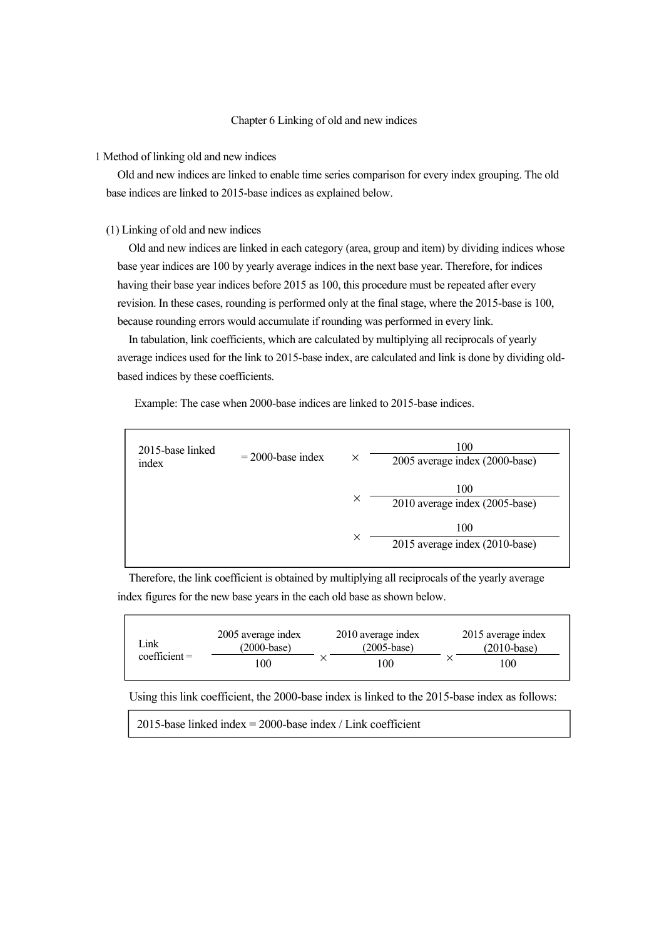# Chapter 6 Linking of old and new indices

#### 1 Method of linking old and new indices

Old and new indices are linked to enable time series comparison for every index grouping. The old base indices are linked to 2015-base indices as explained below.

#### (1) Linking of old and new indices

Old and new indices are linked in each category (area, group and item) by dividing indices whose base year indices are 100 by yearly average indices in the next base year. Therefore, for indices having their base year indices before 2015 as 100, this procedure must be repeated after every revision. In these cases, rounding is performed only at the final stage, where the 2015-base is 100, because rounding errors would accumulate if rounding was performed in every link.

In tabulation, link coefficients, which are calculated by multiplying all reciprocals of yearly average indices used for the link to 2015-base index, are calculated and link is done by dividing oldbased indices by these coefficients.

Example: The case when 2000-base indices are linked to 2015-base indices.

| 2015-base linked<br>index | $= 2000$ -base index | X        | 100<br>2005 average index (2000-base) |  |  |
|---------------------------|----------------------|----------|---------------------------------------|--|--|
|                           |                      | ×        | 100<br>2010 average index (2005-base) |  |  |
|                           |                      | $\times$ | 100<br>2015 average index (2010-base) |  |  |

Therefore, the link coefficient is obtained by multiplying all reciprocals of the yearly average index figures for the new base years in the each old base as shown below.

| ∟ink<br>$coefficient =$ | 2005 average index<br>(2000-base) |  | 2010 average index<br>$(2005 - base)$ |  | 2015 average index<br>$(2010 - base)$ |  |
|-------------------------|-----------------------------------|--|---------------------------------------|--|---------------------------------------|--|
|                         | 100                               |  | 100                                   |  | 100                                   |  |

Using this link coefficient, the 2000-base index is linked to the 2015-base index as follows:

2015-base linked index = 2000-base index / Link coefficient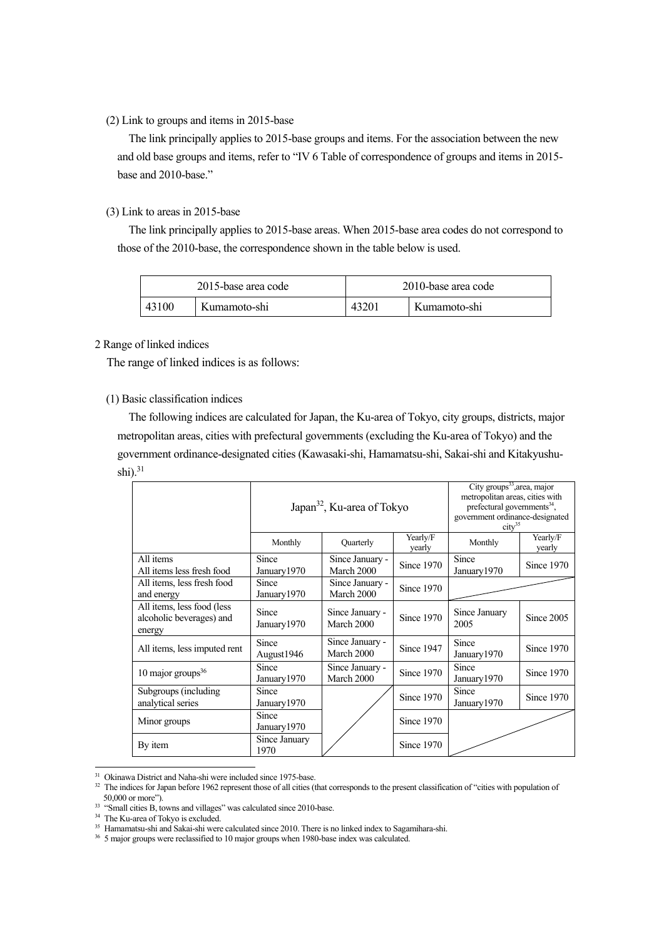# (2) Link to groups and items in 2015-base

The link principally applies to 2015-base groups and items. For the association between the new and old base groups and items, refer to "IV 6 Table of correspondence of groups and items in 2015 base and 2010-base."

# (3) Link to areas in 2015-base

The link principally applies to 2015-base areas. When 2015-base area codes do not correspond to those of the 2010-base, the correspondence shown in the table below is used.

| 2015-base area code |              | 2010-base area code |              |  |
|---------------------|--------------|---------------------|--------------|--|
| 43100               | Kumamoto-shi | 4320 <sub>1</sub>   | Kumamoto-shi |  |

#### 2 Range of linked indices

The range of linked indices is as follows:

# (1) Basic classification indices

The following indices are calculated for Japan, the Ku-area of Tokyo, city groups, districts, major metropolitan areas, cities with prefectural governments (excluding the Ku-area of Tokyo) and the government ordinance-designated cities (Kawasaki-shi, Hamamatsu-shi, Sakai-shi and Kitakyushushi). $31$ 

|                                                                  | Japan <sup>32</sup> , Ku-area of Tokyo |                               |                    | City groups <sup>33</sup> , area, major<br>metropolitan areas, cities with<br>prefectural governments $34$ ,<br>government ordinance-designated<br>$\text{city}^{35}$ |                    |  |
|------------------------------------------------------------------|----------------------------------------|-------------------------------|--------------------|-----------------------------------------------------------------------------------------------------------------------------------------------------------------------|--------------------|--|
|                                                                  | Monthly                                | Quarterly                     | Yearly/F<br>yearly | Monthly                                                                                                                                                               | Yearly/F<br>yearly |  |
| All items<br>All items less fresh food                           | Since<br>January 1970                  | Since January -<br>March 2000 | Since 1970         | Since<br>January 1970                                                                                                                                                 | Since 1970         |  |
| All items, less fresh food<br>and energy                         | Since<br>January 1970                  | Since January -<br>March 2000 | Since 1970         |                                                                                                                                                                       |                    |  |
| All items, less food (less<br>alcoholic beverages) and<br>energy | Since<br>January 1970                  | Since January -<br>March 2000 | Since 1970         | Since January<br>2005                                                                                                                                                 | Since 2005         |  |
| All items, less imputed rent                                     | Since<br>August1946                    | Since January -<br>March 2000 | Since 1947         | Since<br>January 1970                                                                                                                                                 | Since 1970         |  |
| 10 major groups $36$                                             | Since<br>January 1970                  | Since January -<br>March 2000 | Since 1970         | Since<br>January 1970                                                                                                                                                 | Since 1970         |  |
| Subgroups (including<br>analytical series                        | Since<br>January 1970                  |                               | Since 1970         | Since<br>January 1970                                                                                                                                                 | Since 1970         |  |
| Minor groups                                                     | Since<br>January 1970                  |                               | Since 1970         |                                                                                                                                                                       |                    |  |
| By item                                                          | Since January<br>1970                  |                               | Since 1970         |                                                                                                                                                                       |                    |  |

-

<span id="page-1-0"></span><sup>&</sup>lt;sup>31</sup> Okinawa District and Naha-shi were included since 1975-base.<br><sup>32</sup> The indices for Japan before 1962 represent those of all cities (that corresponds to the present classification of "cities with population of 50,000 o

<sup>&</sup>lt;sup>33</sup> "Small cities B, towns and villages" was calculated since 2010-base.

<span id="page-1-2"></span><span id="page-1-1"></span><sup>&</sup>lt;sup>34</sup> The Ku-area of Tokyo is excluded.

<span id="page-1-4"></span><span id="page-1-3"></span><sup>35</sup> Hamamatsu-shi and Sakai-shi were calculated since 2010. There is no linked index to Sagamihara-shi.

<sup>&</sup>lt;sup>36</sup> 5 major groups were reclassified to 10 major groups when 1980-base index was calculated.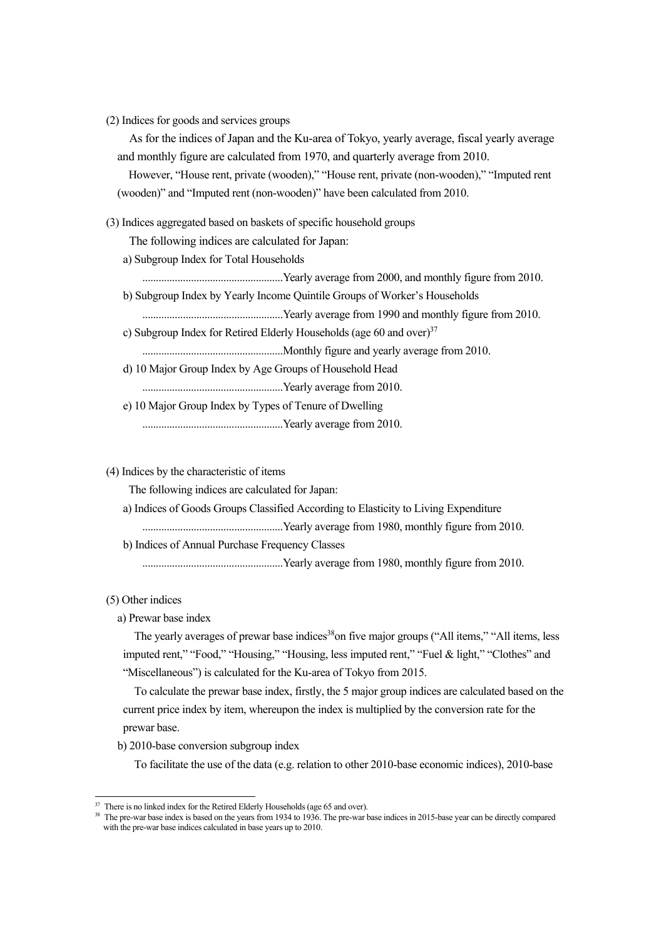(2) Indices for goods and services groups

As for the indices of Japan and the Ku-area of Tokyo, yearly average, fiscal yearly average and monthly figure are calculated from 1970, and quarterly average from 2010.

However, "House rent, private (wooden)," "House rent, private (non-wooden)," "Imputed rent (wooden)" and "Imputed rent (non-wooden)" have been calculated from 2010.

(3) Indices aggregated based on baskets of specific household groups

The following indices are calculated for Japan:

a) Subgroup Index for Total Households

....................................................Yearly average from 2000, and monthly figure from 2010.

b) Subgroup Index by Yearly Income Quintile Groups of Worker's Households

....................................................Yearly average from 1990 and monthly figure from 2010.

c) Subgroup Index for Retired Elderly Households (age 60 and over) $37$ 

....................................................Monthly figure and yearly average from 2010.

- d) 10 Major Group Index by Age Groups of Household Head
- ....................................................Yearly average from 2010.
- e) 10 Major Group Index by Types of Tenure of Dwelling ....................................................Yearly average from 2010.

(4) Indices by the characteristic of items

The following indices are calculated for Japan:

- a) Indices of Goods Groups Classified According to Elasticity to Living Expenditure
- ....................................................Yearly average from 1980, monthly figure from 2010.

b) Indices of Annual Purchase Frequency Classes

....................................................Yearly average from 1980, monthly figure from 2010.

(5) Other indices

-

a) Prewar base index

The yearly averages of prewar base indices<sup>[38](#page-2-1)</sup>on five major groups ("All items," "All items, less imputed rent," "Food," "Housing," "Housing, less imputed rent," "Fuel & light," "Clothes" and "Miscellaneous") is calculated for the Ku-area of Tokyo from 2015.

To calculate the prewar base index, firstly, the 5 major group indices are calculated based on the current price index by item, whereupon the index is multiplied by the conversion rate for the prewar base.

b) 2010-base conversion subgroup index

To facilitate the use of the data (e.g. relation to other 2010-base economic indices), 2010-base

<sup>&</sup>lt;sup>37</sup> There is no linked index for the Retired Elderly Households (age 65 and over).

<span id="page-2-1"></span><span id="page-2-0"></span><sup>&</sup>lt;sup>38</sup> The pre-war base index is based on the years from 1934 to 1936. The pre-war base indices in 2015-base year can be directly compared with the pre-war base indices calculated in base years up to 2010.